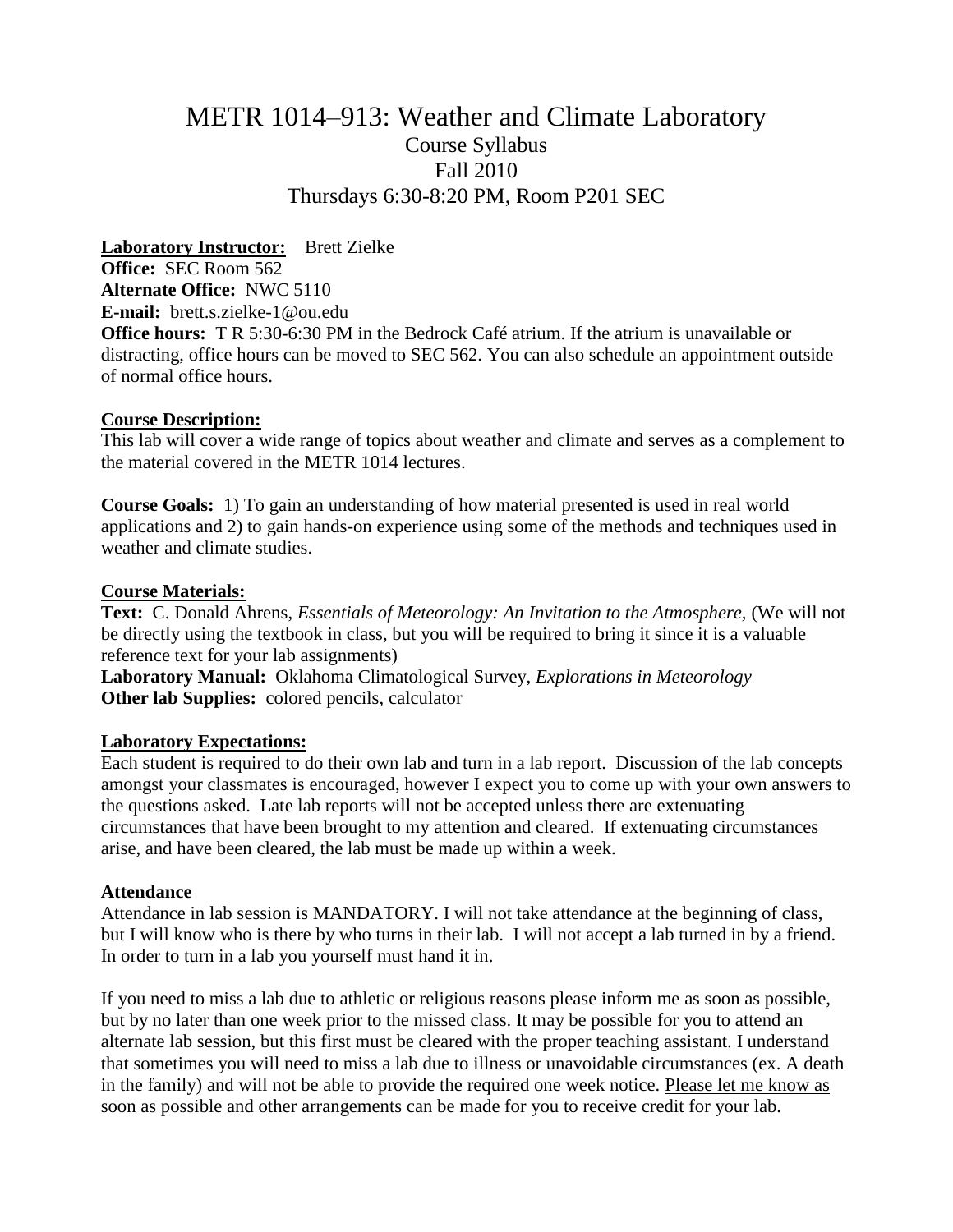# METR 1014–913: Weather and Climate Laboratory Course Syllabus Fall 2010 Thursdays 6:30-8:20 PM, Room P201 SEC

**Laboratory Instructor:** Brett Zielke **Office:** SEC Room 562 **Alternate Office:** NWC 5110 **E-mail:** brett.s.zielke-1@ou.edu **Office hours:** T R 5:30-6:30 PM in the Bedrock Café atrium. If the atrium is unavailable or distracting, office hours can be moved to SEC 562. You can also schedule an appointment outside of normal office hours.

## **Course Description:**

This lab will cover a wide range of topics about weather and climate and serves as a complement to the material covered in the METR 1014 lectures.

**Course Goals:** 1) To gain an understanding of how material presented is used in real world applications and 2) to gain hands-on experience using some of the methods and techniques used in weather and climate studies.

# **Course Materials:**

**Text:** C. Donald Ahrens, *Essentials of Meteorology: An Invitation to the Atmosphere,* (We will not be directly using the textbook in class, but you will be required to bring it since it is a valuable reference text for your lab assignments)

**Laboratory Manual:** Oklahoma Climatological Survey, *Explorations in Meteorology* **Other lab Supplies:** colored pencils, calculator

# **Laboratory Expectations:**

Each student is required to do their own lab and turn in a lab report. Discussion of the lab concepts amongst your classmates is encouraged, however I expect you to come up with your own answers to the questions asked. Late lab reports will not be accepted unless there are extenuating circumstances that have been brought to my attention and cleared. If extenuating circumstances arise, and have been cleared, the lab must be made up within a week.

## **Attendance**

Attendance in lab session is MANDATORY. I will not take attendance at the beginning of class, but I will know who is there by who turns in their lab. I will not accept a lab turned in by a friend. In order to turn in a lab you yourself must hand it in.

If you need to miss a lab due to athletic or religious reasons please inform me as soon as possible, but by no later than one week prior to the missed class. It may be possible for you to attend an alternate lab session, but this first must be cleared with the proper teaching assistant. I understand that sometimes you will need to miss a lab due to illness or unavoidable circumstances (ex. A death in the family) and will not be able to provide the required one week notice. Please let me know as soon as possible and other arrangements can be made for you to receive credit for your lab.